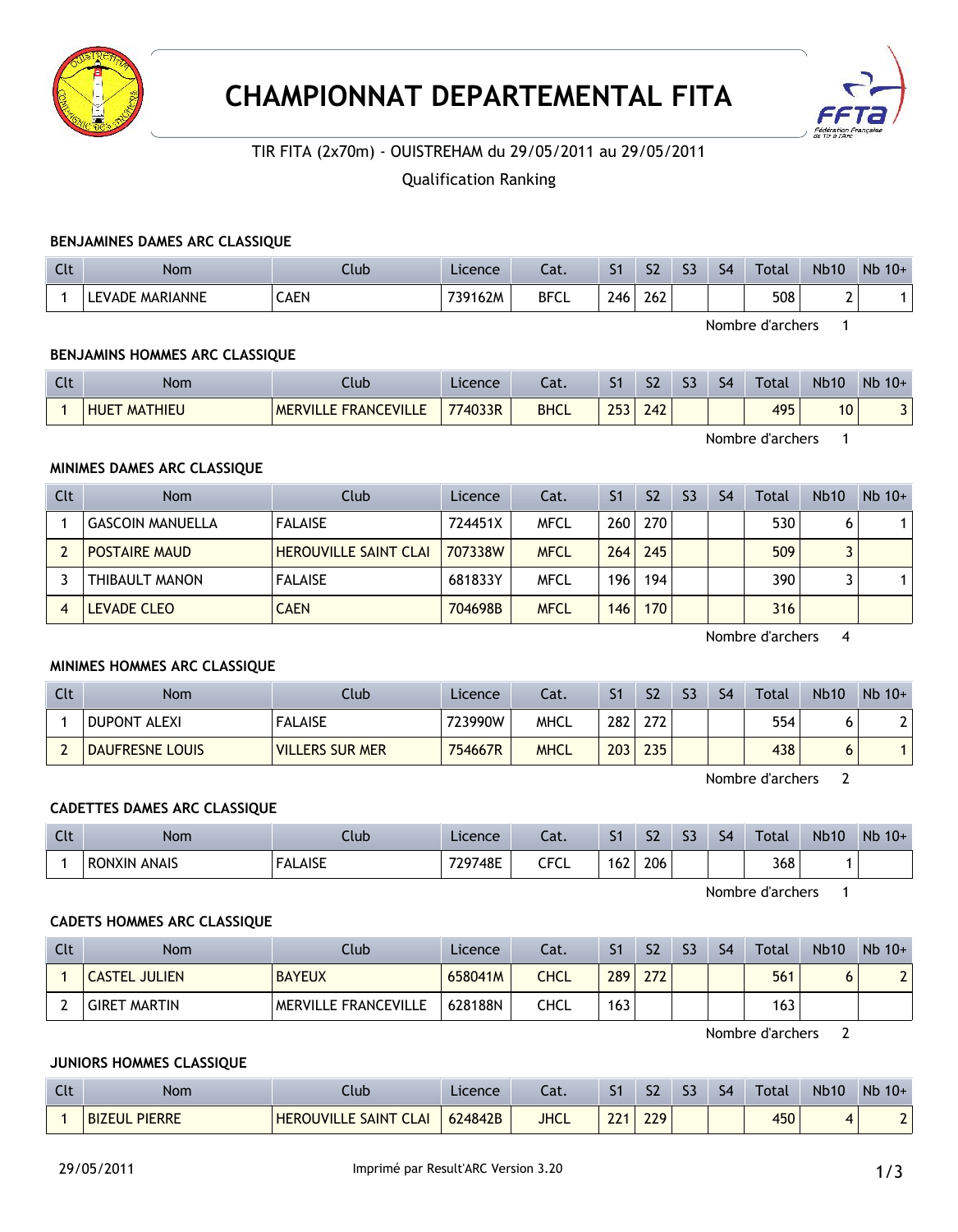



# TIR FITA (2x70m) - OUISTREHAM du 29/05/2011 au 29/05/2011

## Qualification Ranking

#### **BENJAMINES DAMES ARC CLASSIQUE**

| $\Gamma$<br>uu | <b>Nom</b>           | Club | Licence | - 51<br>cal. | - -<br>ו כ | S <sub>2</sub> | $\sim$<br>-- | S <sub>4</sub> | <b>Total</b> | <b>Nb10</b> | Nb<br>$10+$ |
|----------------|----------------------|------|---------|--------------|------------|----------------|--------------|----------------|--------------|-------------|-------------|
|                | : MARIANNE<br>LEVADE | CAEN | 739162M | <b>BFCL</b>  | 746        | 262            |              |                | 508          |             |             |

Nombre d'archers 1

## **BENJAMINS HOMMES ARC CLASSIQUE**

| $\mathsf{C}$<br><b>LIL</b> | Nom                    | .lub                                          | Licence | ۰.,<br>cal. | -<br>- 1          | S <sub>2</sub>     | $\sim$<br>Đ. | S <sub>4</sub> | <b>Total</b> | <b>Nb10</b> | $Nb$ 10+ |
|----------------------------|------------------------|-----------------------------------------------|---------|-------------|-------------------|--------------------|--------------|----------------|--------------|-------------|----------|
|                            | <b>HUET</b><br>MATHIEU | $\sim$<br><b>FRANCEVILI</b><br><b>MERVILI</b> | 774033R | <b>BHCL</b> | つにつ<br><b>LJJ</b> | $\sqrt{2}$<br>24 Z |              |                | 495<br>,,,   | 10          | -        |

Nombre d'archers 1

### **MINIMES DAMES ARC CLASSIQUE**

| <b>Clt</b> | <b>Nom</b>              | Club                         | Licence | Cat.        | S <sub>1</sub> | S <sub>2</sub> | S <sub>3</sub> | S <sub>4</sub> | Total | <b>Nb10</b> | $Nb$ 10+ |
|------------|-------------------------|------------------------------|---------|-------------|----------------|----------------|----------------|----------------|-------|-------------|----------|
|            | <b>GASCOIN MANUELLA</b> | <b>FALAISE</b>               | 724451X | <b>MFCL</b> | 260            | <b>270</b>     |                |                | 530   |             |          |
|            | <b>POSTAIRE MAUD</b>    | <b>HEROUVILLE SAINT CLAI</b> | 707338W | <b>MFCL</b> | 264            | 245            |                |                | 509   |             |          |
|            | THIBAULT MANON          | <b>FALAISE</b>               | 681833Y | <b>MFCL</b> | 196            | 194            |                |                | 390   |             |          |
|            | <b>LEVADE CLEO</b>      | <b>CAEN</b>                  | 704698B | <b>MFCL</b> | 146            | 170            |                |                | 316   |             |          |

Nombre d'archers 4

## **MINIMES HOMMES ARC CLASSIQUE**

| Clt | <b>Nom</b>             | Club                   | Licence | Cat. | S <sub>1</sub>   | S <sub>2</sub> | S <sub>3</sub> | S4 | Total | <b>Nb10</b> | $Nb$ 10+ |
|-----|------------------------|------------------------|---------|------|------------------|----------------|----------------|----|-------|-------------|----------|
|     | <b>DUPONT ALEXI</b>    | <b>FALAISE</b>         | 723990W | MHCL | 282 <sub>1</sub> | 272            |                |    | 554   |             |          |
|     | <b>DAUFRESNE LOUIS</b> | <b>VILLERS SUR MER</b> | 754667R | MHCL | 203              | 235            |                |    | 438   |             |          |

Nombre d'archers 2

## **CADETTES DAMES ARC CLASSIQUE**

| $\Gamma$<br>uu | <b>Nom</b>             | <b>Club</b>              | Licence | $-$<br>cal.    | - 1 | $\sim$<br>ىر | $\sim$<br>Đ. | S <sub>4</sub> | Total | <b>Nb10</b> | Nb<br>$10+$ |
|----------------|------------------------|--------------------------|---------|----------------|-----|--------------|--------------|----------------|-------|-------------|-------------|
|                | <b>ANAIS</b><br>RONXIN | <b>AICE</b><br>-<br>םכור | 729748E | CECI<br>◡<br>ີ | 162 | 206          |              |                | 368   |             |             |

Nombre d'archers 1

## **CADETS HOMMES ARC CLASSIQUE**

| Clt | Nom                  | Club                 | Licence | Cat. | S <sub>1</sub> | S <sub>2</sub> | S3 | S <sub>4</sub> | Total | <b>Nb10</b> | $Nb$ 10+ |
|-----|----------------------|----------------------|---------|------|----------------|----------------|----|----------------|-------|-------------|----------|
|     | <b>CASTEL JULIEN</b> | <b>BAYEUX</b>        | 658041M | CHCL | 289            | 272            |    |                | 561   | O           |          |
|     | <b>GIRET MARTIN</b>  | MERVILLE FRANCEVILLE | 628188N | CHCL | 163            |                |    |                | 163   |             |          |

Nombre d'archers 2

## **JUNIORS HOMMES CLASSIQUE**

| $\sim$<br>นเ | Nom                            | Llub                                      | Licence | $-1$<br>-al. |             | $\mathsf{C}$<br>גנ | -- | S <sub>4</sub> | Total | <b>Nb10</b> | $Nb$ 10+ |
|--------------|--------------------------------|-------------------------------------------|---------|--------------|-------------|--------------------|----|----------------|-------|-------------|----------|
|              | <b>BIZEUL</b><br><b>PIERRE</b> | <b>HEROUVILLE SAINT CL</b><br><b>CLAI</b> | 624842B | <b>JHCL</b>  | ົາາ<br>$-1$ | 220<br><b>LL7</b>  |    |                | 450   |             |          |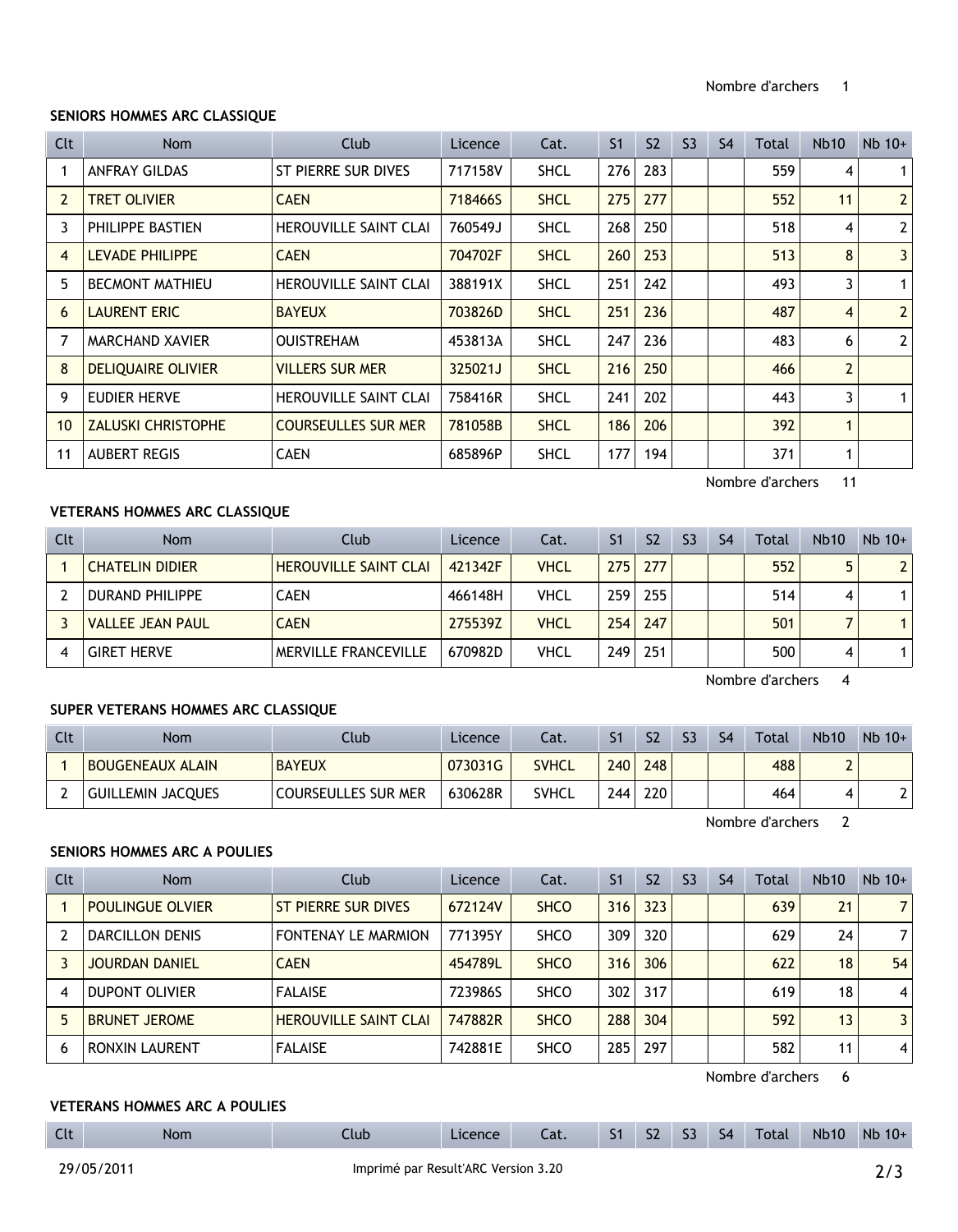### **SENIORS HOMMES ARC CLASSIQUE**

| Clt            | Nom                       | Club                         | Licence | Cat.        | S <sub>1</sub> | S <sub>2</sub> | S <sub>3</sub> | S <sub>4</sub> | Total | Nb10           | $Nb$ 10+       |
|----------------|---------------------------|------------------------------|---------|-------------|----------------|----------------|----------------|----------------|-------|----------------|----------------|
|                | <b>ANFRAY GILDAS</b>      | ST PIERRE SUR DIVES          | 717158V | <b>SHCL</b> | 276            | 283            |                |                | 559   | 4              | 1 <sup>1</sup> |
| $\overline{2}$ | <b>TRET OLIVIER</b>       | <b>CAEN</b>                  | 718466S | <b>SHCL</b> | 275            | 277            |                |                | 552   | 11             | 2              |
| 3.             | PHILIPPE BASTIEN          | <b>HEROUVILLE SAINT CLAI</b> | 760549J | <b>SHCL</b> | 268            | 250            |                |                | 518   | 4              | 2 <sup>1</sup> |
| 4              | <b>LEVADE PHILIPPE</b>    | <b>CAEN</b>                  | 704702F | <b>SHCL</b> | 260            | 253            |                |                | 513   | 8              | 3 <sup>1</sup> |
| 5.             | <b>BECMONT MATHIEU</b>    | <b>HEROUVILLE SAINT CLAI</b> | 388191X | <b>SHCL</b> | 251            | 242            |                |                | 493   | 3              | 1 <sup>1</sup> |
| 6              | <b>LAURENT ERIC</b>       | <b>BAYEUX</b>                | 703826D | <b>SHCL</b> | 251            | 236            |                |                | 487   | $\overline{4}$ | 2 <sup>1</sup> |
| 7              | <b>MARCHAND XAVIER</b>    | <b>OUISTREHAM</b>            | 453813A | <b>SHCL</b> | 247            | 236            |                |                | 483   | 6              | 2 <sup>1</sup> |
| 8              | <b>DELIQUAIRE OLIVIER</b> | <b>VILLERS SUR MER</b>       | 325021J | <b>SHCL</b> | 216            | 250            |                |                | 466   | $\overline{2}$ |                |
| 9              | EUDIER HERVE              | <b>HEROUVILLE SAINT CLAI</b> | 758416R | <b>SHCL</b> | 241            | 202            |                |                | 443   | 3              | 1 <sup>1</sup> |
| 10             | <b>ZALUSKI CHRISTOPHE</b> | <b>COURSEULLES SUR MER</b>   | 781058B | <b>SHCL</b> | 186            | 206            |                |                | 392   | $\mathbf{1}$   |                |
| 11             | <b>AUBERT REGIS</b>       | <b>CAEN</b>                  | 685896P | <b>SHCL</b> | 177            | 194            |                |                | 371   | 1              |                |

Nombre d'archers 11

# **VETERANS HOMMES ARC CLASSIQUE**

| Clt | <b>Nom</b>              | Club                         | Licence | Cat.        | S <sub>1</sub> | S <sub>2</sub> | S <sub>3</sub> | S <sub>4</sub> | <b>Total</b> | <b>Nb10</b> | $Nb$ 10+ |
|-----|-------------------------|------------------------------|---------|-------------|----------------|----------------|----------------|----------------|--------------|-------------|----------|
|     | <b>CHATELIN DIDIER</b>  | <b>HEROUVILLE SAINT CLAI</b> | 421342F | <b>VHCL</b> | 2751           | 277            |                |                | 552          |             |          |
|     | <b>DURAND PHILIPPE</b>  | <b>CAEN</b>                  | 466148H | <b>VHCL</b> | 259            | 255            |                |                | 514          | 4           |          |
|     | <b>VALLEE JEAN PAUL</b> | <b>CAEN</b>                  | 275539Z | <b>VHCL</b> | 254            | 247            |                |                | 501          |             |          |
|     | <b>GIRET HERVE</b>      | <b>MERVILLE FRANCEVILLE</b>  | 670982D | VHCL        | 249            | 251            |                |                | 500          | 4           |          |

Nombre d'archers 4

## **SUPER VETERANS HOMMES ARC CLASSIQUE**

| Clt | <b>Nom</b>               | Club                       | Licence | Cat.         |     | S <sub>2</sub> | S <sub>3</sub> | S <sub>4</sub> | Total | <b>Nb10</b> | $Nb 10+$ |
|-----|--------------------------|----------------------------|---------|--------------|-----|----------------|----------------|----------------|-------|-------------|----------|
|     | <b>BOUGENEAUX ALAIN</b>  | <b>BAYEUX</b>              | 073031G | <b>SVHCL</b> | 240 | 248            |                |                | 488   |             |          |
|     | <b>GUILLEMIN JACQUES</b> | <b>COURSEULLES SUR MER</b> | 630628R | <b>SVHCL</b> | 244 | 220            |                |                | 464   | 4           | ີ່       |

Nombre d'archers 2

#### **SENIORS HOMMES ARC A POULIES**

| Clt | <b>Nom</b>              | Club                         | Licence | Cat.        | S <sub>1</sub> | S <sub>2</sub> | S <sub>3</sub> | S <sub>4</sub> | Total | <b>Nb10</b> | $Nb$ 10+       |
|-----|-------------------------|------------------------------|---------|-------------|----------------|----------------|----------------|----------------|-------|-------------|----------------|
|     | <b>POULINGUE OLVIER</b> | ST PIERRE SUR DIVES          | 672124V | <b>SHCO</b> | 316            | 323            |                |                | 639   | 21          | 7 <sup>1</sup> |
|     | <b>DARCILLON DENIS</b>  | <b>FONTENAY LE MARMION</b>   | 771395Y | <b>SHCO</b> | 309            | 320            |                |                | 629   | 24          | 7              |
|     | <b>JOURDAN DANIEL</b>   | <b>CAEN</b>                  | 454789L | <b>SHCO</b> | 316            | 306            |                |                | 622   | 18          | 54             |
| 4   | <b>DUPONT OLIVIER</b>   | <b>FALAISE</b>               | 723986S | <b>SHCO</b> | 302            | 317            |                |                | 619   | 18          | 4              |
| 5   | <b>BRUNET JEROME</b>    | <b>HEROUVILLE SAINT CLAI</b> | 747882R | <b>SHCO</b> | 288            | 304            |                |                | 592   | 13          | 3 <sup>1</sup> |
| 6   | RONXIN LAURENT          | <b>FALAISE</b>               | 742881E | <b>SHCO</b> | 285            | 297            |                |                | 582   | 11          | 4              |

Nombre d'archers 6

## **VETERANS HOMMES ARC A POULIES**

| Clt | <b>Nom</b> | Club <sup>1</sup> | Licence | Cat. |  |  | . S1 S2 S3 S4 Total | Nb10 Nb 10+ |
|-----|------------|-------------------|---------|------|--|--|---------------------|-------------|
|     |            |                   |         |      |  |  |                     |             |